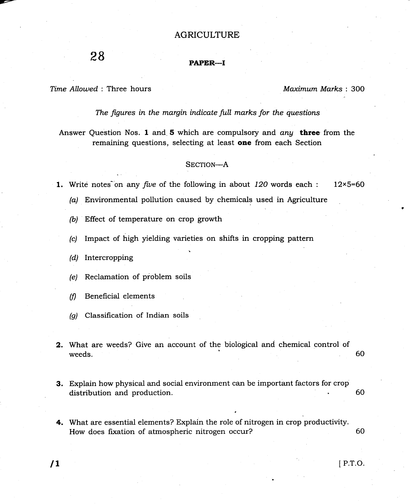## AGRICULTURE

## PAPER-I

Time Allowed : Three hours

Maximum Marks: 3OO

The figures in the margin indicate full marks for the questions

Answer Question Nos. 1 and 5 which are compulsory and any three from the remaining questions, selecting at least one from each Section

## SECTION-A

1. Write notes on any five of the following in about  $120$  words each : 12×5=60

- (a) Environmental pollution caused by chemicals used in Agriculture
- (b) Effect of temperature on crop growth
- (c) Impact of high yielding varieties on shifts in cropping pattern
- $(d)$  Intercropping
- (e) Reclamation of problem soils
- (fl Beneficial elements
- (a) Classification of Indian soils
- 2. What are weeds? Give an account of the biological and chemical control of weeds. 60
	-
- 3. Explain how physical and social environment can be important factors for crop distribution and production. 60
- 4. What are essential elements? Explain the role of nitrogen in crop productivity. How does fixation of atmospheric nitrogen occur? <sup>60</sup>